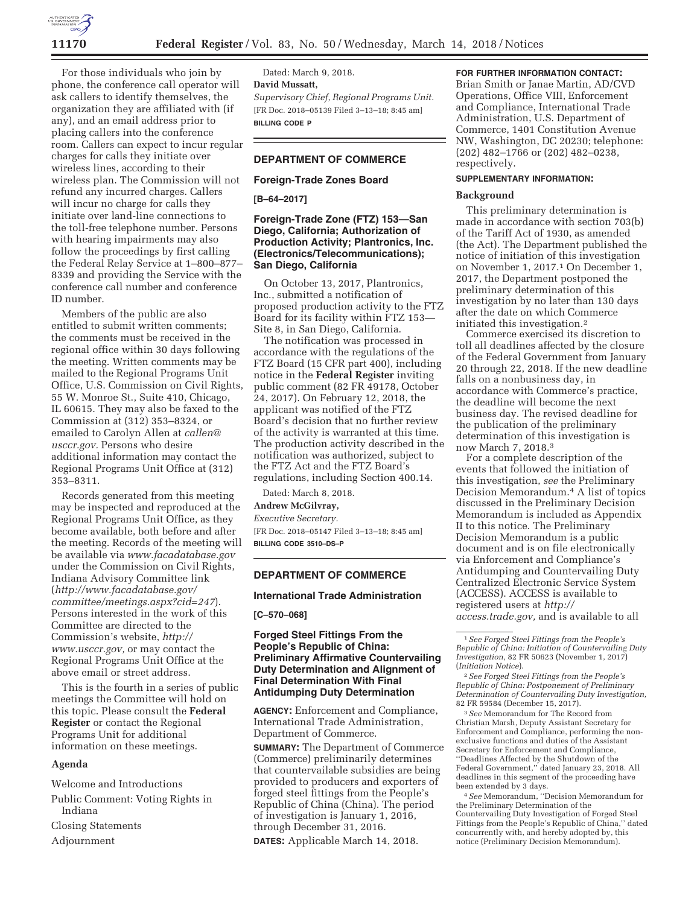

For those individuals who join by phone, the conference call operator will ask callers to identify themselves, the organization they are affiliated with (if any), and an email address prior to placing callers into the conference room. Callers can expect to incur regular charges for calls they initiate over wireless lines, according to their wireless plan. The Commission will not refund any incurred charges. Callers will incur no charge for calls they initiate over land-line connections to the toll-free telephone number. Persons with hearing impairments may also follow the proceedings by first calling the Federal Relay Service at 1–800–877– 8339 and providing the Service with the conference call number and conference ID number.

Members of the public are also entitled to submit written comments; the comments must be received in the regional office within 30 days following the meeting. Written comments may be mailed to the Regional Programs Unit Office, U.S. Commission on Civil Rights, 55 W. Monroe St., Suite 410, Chicago, IL 60615. They may also be faxed to the Commission at (312) 353–8324, or emailed to Carolyn Allen at *callen@ usccr.gov.* Persons who desire additional information may contact the Regional Programs Unit Office at (312) 353–8311.

Records generated from this meeting may be inspected and reproduced at the Regional Programs Unit Office, as they become available, both before and after the meeting. Records of the meeting will be available via *www.facadatabase.gov*  under the Commission on Civil Rights, Indiana Advisory Committee link (*http://www.facadatabase.gov/ committee/meetings.aspx?cid=247*). Persons interested in the work of this Committee are directed to the Commission's website, *http:// www.usccr.gov,* or may contact the Regional Programs Unit Office at the above email or street address.

This is the fourth in a series of public meetings the Committee will hold on this topic. Please consult the **Federal Register** or contact the Regional Programs Unit for additional information on these meetings.

### **Agenda**

Welcome and Introductions

Public Comment: Voting Rights in Indiana

Closing Statements

Adjournment

Dated: March 9, 2018. **David Mussatt,**  *Supervisory Chief, Regional Programs Unit.*  [FR Doc. 2018–05139 Filed 3–13–18; 8:45 am] **BILLING CODE P** 

# **DEPARTMENT OF COMMERCE**

# **Foreign-Trade Zones Board**

**[B–64–2017]** 

# **Foreign-Trade Zone (FTZ) 153—San Diego, California; Authorization of Production Activity; Plantronics, Inc. (Electronics/Telecommunications); San Diego, California**

On October 13, 2017, Plantronics, Inc., submitted a notification of proposed production activity to the FTZ Board for its facility within FTZ 153— Site 8, in San Diego, California.

The notification was processed in accordance with the regulations of the FTZ Board (15 CFR part 400), including notice in the **Federal Register** inviting public comment (82 FR 49178, October 24, 2017). On February 12, 2018, the applicant was notified of the FTZ Board's decision that no further review of the activity is warranted at this time. The production activity described in the notification was authorized, subject to the FTZ Act and the FTZ Board's regulations, including Section 400.14.

Dated: March 8, 2018.

**Andrew McGilvray,** 

*Executive Secretary.* 

[FR Doc. 2018–05147 Filed 3–13–18; 8:45 am] **BILLING CODE 3510–DS–P** 

# **DEPARTMENT OF COMMERCE**

#### **International Trade Administration**

#### **[C–570–068]**

# **Forged Steel Fittings From the People's Republic of China: Preliminary Affirmative Countervailing Duty Determination and Alignment of Final Determination With Final Antidumping Duty Determination**

**AGENCY:** Enforcement and Compliance, International Trade Administration, Department of Commerce.

**SUMMARY:** The Department of Commerce (Commerce) preliminarily determines that countervailable subsidies are being provided to producers and exporters of forged steel fittings from the People's Republic of China (China). The period of investigation is January 1, 2016, through December 31, 2016. **DATES:** Applicable March 14, 2018.

# **FOR FURTHER INFORMATION CONTACT:**

Brian Smith or Janae Martin, AD/CVD Operations, Office VIII, Enforcement and Compliance, International Trade Administration, U.S. Department of Commerce, 1401 Constitution Avenue NW, Washington, DC 20230; telephone: (202) 482–1766 or (202) 482–0238, respectively.

# **SUPPLEMENTARY INFORMATION:**

# **Background**

This preliminary determination is made in accordance with section 703(b) of the Tariff Act of 1930, as amended (the Act). The Department published the notice of initiation of this investigation on November 1, 2017.1 On December 1, 2017, the Department postponed the preliminary determination of this investigation by no later than 130 days after the date on which Commerce initiated this investigation.2

Commerce exercised its discretion to toll all deadlines affected by the closure of the Federal Government from January 20 through 22, 2018. If the new deadline falls on a nonbusiness day, in accordance with Commerce's practice, the deadline will become the next business day. The revised deadline for the publication of the preliminary determination of this investigation is now March 7, 2018.3

For a complete description of the events that followed the initiation of this investigation, *see* the Preliminary Decision Memorandum.4 A list of topics discussed in the Preliminary Decision Memorandum is included as Appendix II to this notice. The Preliminary Decision Memorandum is a public document and is on file electronically via Enforcement and Compliance's Antidumping and Countervailing Duty Centralized Electronic Service System (ACCESS). ACCESS is available to registered users at *http:// access.trade.gov,* and is available to all

3*See* Memorandum for The Record from Christian Marsh, Deputy Assistant Secretary for Enforcement and Compliance, performing the nonexclusive functions and duties of the Assistant Secretary for Enforcement and Compliance, ''Deadlines Affected by the Shutdown of the Federal Government,'' dated January 23, 2018. All deadlines in this segment of the proceeding have been extended by 3 days.

4*See* Memorandum, ''Decision Memorandum for the Preliminary Determination of the Countervailing Duty Investigation of Forged Steel Fittings from the People's Republic of China," dated concurrently with, and hereby adopted by, this notice (Preliminary Decision Memorandum).

<sup>1</sup>*See Forged Steel Fittings from the People's Republic of China: Initiation of Countervailing Duty Investigation,* 82 FR 50623 (November 1, 2017) (*Initiation Notice*).

<sup>2</sup>*See Forged Steel Fittings from the People's Republic of China: Postponement of Preliminary Determination of Countervailing Duty Investigation,*  82 FR 59584 (December 15, 2017).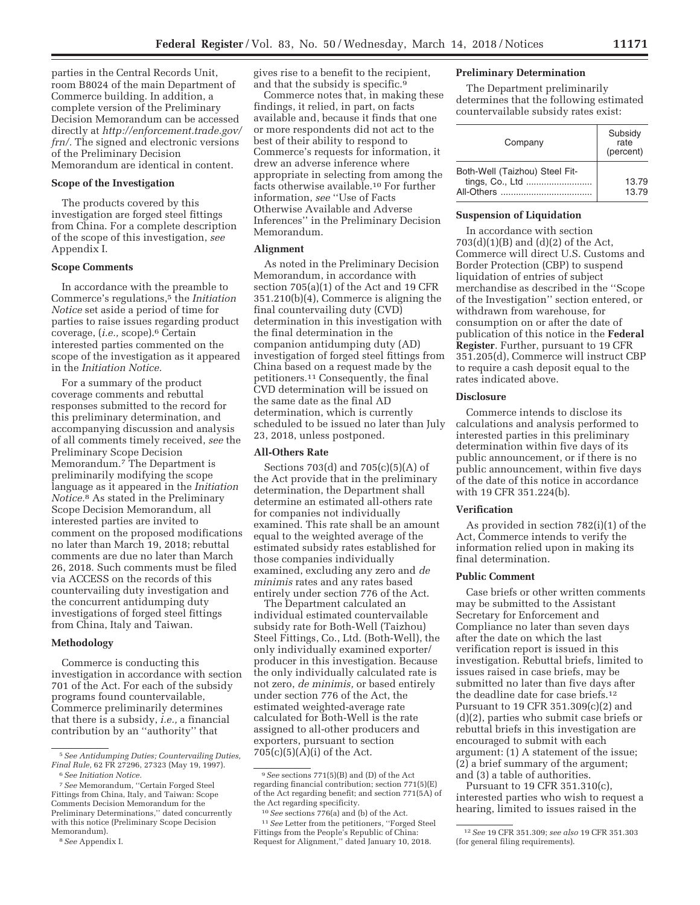parties in the Central Records Unit, room B8024 of the main Department of Commerce building. In addition, a complete version of the Preliminary Decision Memorandum can be accessed directly at *http://enforcement.trade.gov/ frn/.* The signed and electronic versions of the Preliminary Decision Memorandum are identical in content.

# **Scope of the Investigation**

The products covered by this investigation are forged steel fittings from China. For a complete description of the scope of this investigation, *see*  Appendix I.

#### **Scope Comments**

In accordance with the preamble to Commerce's regulations,5 the *Initiation Notice* set aside a period of time for parties to raise issues regarding product coverage, (*i.e.,* scope).6 Certain interested parties commented on the scope of the investigation as it appeared in the *Initiation Notice.* 

For a summary of the product coverage comments and rebuttal responses submitted to the record for this preliminary determination, and accompanying discussion and analysis of all comments timely received, *see* the Preliminary Scope Decision Memorandum.7 The Department is preliminarily modifying the scope language as it appeared in the *Initiation Notice.*8 As stated in the Preliminary Scope Decision Memorandum, all interested parties are invited to comment on the proposed modifications no later than March 19, 2018; rebuttal comments are due no later than March 26, 2018. Such comments must be filed via ACCESS on the records of this countervailing duty investigation and the concurrent antidumping duty investigations of forged steel fittings from China, Italy and Taiwan.

#### **Methodology**

Commerce is conducting this investigation in accordance with section 701 of the Act. For each of the subsidy programs found countervailable, Commerce preliminarily determines that there is a subsidy, *i.e.,* a financial contribution by an ''authority'' that

7*See* Memorandum, ''Certain Forged Steel Fittings from China, Italy, and Taiwan: Scope Comments Decision Memorandum for the Preliminary Determinations,'' dated concurrently with this notice (Preliminary Scope Decision Memorandum).

gives rise to a benefit to the recipient, and that the subsidy is specific.9

Commerce notes that, in making these findings, it relied, in part, on facts available and, because it finds that one or more respondents did not act to the best of their ability to respond to Commerce's requests for information, it drew an adverse inference where appropriate in selecting from among the facts otherwise available.10 For further information, *see* ''Use of Facts Otherwise Available and Adverse Inferences'' in the Preliminary Decision Memorandum.

# **Alignment**

As noted in the Preliminary Decision Memorandum, in accordance with section 705(a)(1) of the Act and 19 CFR 351.210(b)(4), Commerce is aligning the final countervailing duty (CVD) determination in this investigation with the final determination in the companion antidumping duty (AD) investigation of forged steel fittings from China based on a request made by the petitioners.11 Consequently, the final CVD determination will be issued on the same date as the final AD determination, which is currently scheduled to be issued no later than July 23, 2018, unless postponed.

#### **All-Others Rate**

Sections 703(d) and 705(c)(5)(A) of the Act provide that in the preliminary determination, the Department shall determine an estimated all-others rate for companies not individually examined. This rate shall be an amount equal to the weighted average of the estimated subsidy rates established for those companies individually examined, excluding any zero and *de minimis* rates and any rates based entirely under section 776 of the Act.

The Department calculated an individual estimated countervailable subsidy rate for Both-Well (Taizhou) Steel Fittings, Co., Ltd. (Both-Well), the only individually examined exporter/ producer in this investigation. Because the only individually calculated rate is not zero, *de minimis,* or based entirely under section 776 of the Act, the estimated weighted-average rate calculated for Both-Well is the rate assigned to all-other producers and exporters, pursuant to section  $705(c)(5)(A)(i)$  of the Act.

# **Preliminary Determination**

The Department preliminarily determines that the following estimated countervailable subsidy rates exist:

| Company                                      | Subsidy<br>rate<br>(percent) |
|----------------------------------------------|------------------------------|
| Both-Well (Taizhou) Steel Fit-<br>All-Others | 13.79<br>13.79               |

# **Suspension of Liquidation**

In accordance with section 703(d)(1)(B) and (d)(2) of the Act, Commerce will direct U.S. Customs and Border Protection (CBP) to suspend liquidation of entries of subject merchandise as described in the ''Scope of the Investigation'' section entered, or withdrawn from warehouse, for consumption on or after the date of publication of this notice in the **Federal Register**. Further, pursuant to 19 CFR 351.205(d), Commerce will instruct CBP to require a cash deposit equal to the rates indicated above.

#### **Disclosure**

Commerce intends to disclose its calculations and analysis performed to interested parties in this preliminary determination within five days of its public announcement, or if there is no public announcement, within five days of the date of this notice in accordance with 19 CFR 351.224(b).

#### **Verification**

As provided in section 782(i)(1) of the Act, Commerce intends to verify the information relied upon in making its final determination.

# **Public Comment**

Case briefs or other written comments may be submitted to the Assistant Secretary for Enforcement and Compliance no later than seven days after the date on which the last verification report is issued in this investigation. Rebuttal briefs, limited to issues raised in case briefs, may be submitted no later than five days after the deadline date for case briefs.12 Pursuant to 19 CFR 351.309(c)(2) and (d)(2), parties who submit case briefs or rebuttal briefs in this investigation are encouraged to submit with each argument: (1) A statement of the issue; (2) a brief summary of the argument; and (3) a table of authorities.

Pursuant to 19 CFR 351.310(c), interested parties who wish to request a hearing, limited to issues raised in the

<sup>5</sup>*See Antidumping Duties; Countervailing Duties, Final Rule,* 62 FR 27296, 27323 (May 19, 1997).

<sup>6</sup>*See Initiation Notice.* 

<sup>8</sup>*See* Appendix I.

<sup>9</sup>*See* sections 771(5)(B) and (D) of the Act regarding financial contribution; section 771(5)(E) of the Act regarding benefit; and section 771(5A) of the Act regarding specificity.

<sup>10</sup>*See* sections 776(a) and (b) of the Act. 11*See* Letter from the petitioners, ''Forged Steel Fittings from the People's Republic of China: Request for Alignment,'' dated January 10, 2018.

<sup>12</sup>*See* 19 CFR 351.309; *see also* 19 CFR 351.303 (for general filing requirements).